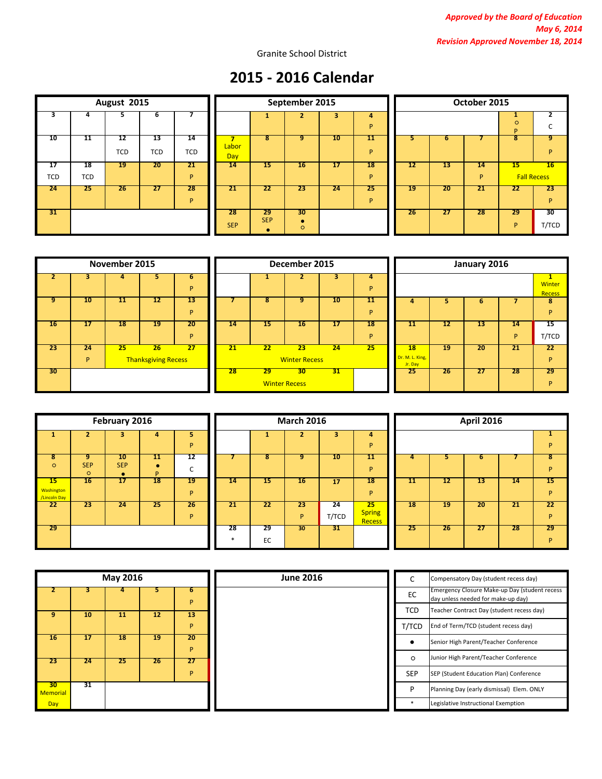Granite School District

# **2015 - 2016 Calendar**

| August 2015     |            |            |            |            |  |  |  |  |  |
|-----------------|------------|------------|------------|------------|--|--|--|--|--|
| 3               | 4          | 5          | 6          |            |  |  |  |  |  |
| 10              | 11         | 12         | 13         | 14         |  |  |  |  |  |
|                 |            | <b>TCD</b> | <b>TCD</b> | <b>TCD</b> |  |  |  |  |  |
| $\overline{17}$ | 18         | 19         | 20         | 21         |  |  |  |  |  |
| <b>TCD</b>      | <b>TCD</b> |            |            | P          |  |  |  |  |  |
| 24              | 25         | 26         | 27         | 28         |  |  |  |  |  |
|                 |            |            |            | P          |  |  |  |  |  |
| 31              |            |            |            |            |  |  |  |  |  |

|           |                  | August 2015      |                  |                  |                     | September 2015   |               |    |         | October 2015 |     |         |                          |            |
|-----------|------------------|------------------|------------------|------------------|---------------------|------------------|---------------|----|---------|--------------|-----|---------|--------------------------|------------|
|           |                  |                  |                  |                  |                     |                  |               | 3  | 4<br>P  |              |     |         | $\circ$<br>D             | C          |
| 10        | 11               | 12<br><b>TCD</b> | 13<br><b>TCD</b> | 14<br><b>TCD</b> | Labor<br><b>Day</b> | 8                | 9             | 10 | 11<br>P |              |     |         | 8                        | 9<br>P     |
| 17<br>CD. | 18<br><b>TCD</b> | 19               | 20               | 21<br>D          | 14                  | 15               | 16            | 17 | 18<br>P | 12           | 13  | 14<br>P | 15<br><b>Fall Recess</b> | 16         |
| 24        | 25               | 26               | 27               | 28<br><b>D</b>   | 21                  | 22               | 23            | 24 | 25<br>P | 19           | -20 | 21      | 22                       | -23<br>P   |
| 31        |                  |                  |                  |                  | 28<br><b>SEP</b>    | 29<br><b>SEP</b> | 30<br>$\circ$ |    |         | 26           | -27 | 28      | 29<br>D                  | 30<br>T/TC |

|    | October 2015 |    |    |                    |       |  |  |  |  |
|----|--------------|----|----|--------------------|-------|--|--|--|--|
| 4  |              |    |    |                    | 2     |  |  |  |  |
| P  |              |    |    | $\circ$<br>P       | С     |  |  |  |  |
| 11 | 5            | 6  |    | 8                  | 9     |  |  |  |  |
| P  |              |    |    |                    | P     |  |  |  |  |
| l8 | 12           | 13 | 14 | 15                 | 16    |  |  |  |  |
| P  |              |    | P  | <b>Fall Recess</b> |       |  |  |  |  |
| 25 | 19           | 20 | 21 | 22                 | 23    |  |  |  |  |
| P  |              |    |    |                    | P     |  |  |  |  |
|    | 26           | 27 | 28 | 29                 | 30    |  |  |  |  |
|    |              |    |    | P                  | T/TCD |  |  |  |  |

|    |         | November 2015 |                                  |         | December 2015 |    |                            |  |
|----|---------|---------------|----------------------------------|---------|---------------|----|----------------------------|--|
|    |         |               |                                  | ь<br>P  |               |    |                            |  |
| 9  | 10      | 11            | 12                               | 13<br>P | 7             | 8  | 9                          |  |
| 16 | 17      | 18            | 19                               | 20<br>P | 14            | 15 | 16                         |  |
| 23 | 24<br>P | 25            | 26<br><b>Thanksgiving Recess</b> | 27      | 21            | 22 | 23<br><b>Winter Recess</b> |  |
| 30 |         |               |                                  |         | 28            | 29 | 30<br><b>Winter Recess</b> |  |

|                 |         | November 2015 |                                  |                |    | December 2015 |                                         |    |         |                                  | January 2016 |    |         |                     |  |
|-----------------|---------|---------------|----------------------------------|----------------|----|---------------|-----------------------------------------|----|---------|----------------------------------|--------------|----|---------|---------------------|--|
|                 |         |               |                                  | ь<br>P         |    |               |                                         |    | 4<br>P  |                                  |              |    |         | <b>Wint</b><br>Rece |  |
| $\overline{9}$  | 10      | 11            | 12                               | 13<br><b>D</b> |    | 8             | 9                                       | 10 | 11<br>P | 4                                |              | 6  |         | -8<br>P             |  |
| 16              | 17      | 18            | 19                               | 20<br>P        | 14 | 15            | 16                                      | 17 | 18<br>P | 11                               | 12           | 13 | 14<br>D | 15<br>T/TC          |  |
| 23              | 24<br>P | 25            | 26<br><b>Thanksgiving Recess</b> | 27             | 21 | 22            | 23<br><b>Winter Recess</b>              | 24 | 25      | 18<br>Dr. M. L. King,<br>Jr. Day | 19           | 20 | 21      | -22<br>P            |  |
| 30 <sup>2</sup> |         |               |                                  |                | 28 | 29            | 30 <sup>°</sup><br><b>Winter Recess</b> | 31 |         | 25                               | 26           | 27 | 28      | 29<br>P             |  |

|    |                            | January 2016 |    |                |                                |  |  |  |  |
|----|----------------------------|--------------|----|----------------|--------------------------------|--|--|--|--|
| 4  |                            |              |    |                | 1                              |  |  |  |  |
| P  |                            |              |    |                | <b>Winter</b><br><b>Recess</b> |  |  |  |  |
| 11 | 4                          | 5            | 6  | $\overline{7}$ | 8                              |  |  |  |  |
| P  |                            |              |    |                | P                              |  |  |  |  |
| l8 | 11                         | 12           | 13 | 14             | 15                             |  |  |  |  |
| P  |                            |              |    | P              | T/TCD                          |  |  |  |  |
| 25 | 18                         | 19           | 20 | 21             | 22                             |  |  |  |  |
|    | Dr. M. L. King,<br>Jr. Day |              |    |                | P                              |  |  |  |  |
|    | 25                         | 26           | 27 | 28             | 29                             |  |  |  |  |
|    |                            |              |    |                | P                              |  |  |  |  |

|                                         | February 2016              |                  |         |         |  |  |  |  |  |  |
|-----------------------------------------|----------------------------|------------------|---------|---------|--|--|--|--|--|--|
| 1                                       | $\overline{2}$             | 3                | 4       | 5<br>P  |  |  |  |  |  |  |
| 8<br>$\circ$                            | 9<br><b>SEP</b><br>$\circ$ | 10<br><b>SEP</b> | 11<br>p | 12<br>C |  |  |  |  |  |  |
| 15<br><b>Washington</b><br>/Lincoln Day | 16                         | 17               | 18      | 19<br>P |  |  |  |  |  |  |
| 22                                      | 23                         | 24               | 25      | 26<br>P |  |  |  |  |  |  |
| 29                                      |                            |                  |         |         |  |  |  |  |  |  |

|                                    |                            | February 2016                 |         |         | <b>March 2016</b> |          |         |             |                                      | <b>April 2016</b> |    |     |    |         |
|------------------------------------|----------------------------|-------------------------------|---------|---------|-------------------|----------|---------|-------------|--------------------------------------|-------------------|----|-----|----|---------|
|                                    | 2                          | з                             | 4       | 5       |                   |          |         | з           | 4                                    |                   |    |     |    |         |
|                                    |                            |                               |         | D       |                   |          |         |             | P                                    |                   |    |     |    | P       |
| $\overline{\mathbf{8}}$<br>$\circ$ | 9<br><b>SEP</b><br>$\circ$ | 10<br><b>SEP</b><br>$\bullet$ | 11<br>D | 12<br>◡ |                   | 8        | 9.      | 10          | 11<br>P                              |                   |    | ь   |    | 8<br>P  |
| $15\,$<br>hington<br>coln Day      | 16                         | 17                            | 18      | 19<br>D | 14                | 15       | 16      | 17          | 18<br>P                              | 11                | 12 | 13  | 14 | 15<br>P |
| 22                                 | 23                         | 24                            | 25      | 26<br>D | 21                | 22       | 23<br>P | 24<br>T/TCD | 25<br><b>Spring</b><br><b>Recess</b> | 18                | 19 | 20  | 21 | 22<br>P |
| 29                                 |                            |                               |         |         | 28                | 29<br>EC | 30      | 31          |                                      | 25 <sub>1</sub>   | 26 | -27 | 28 | 29<br>P |

|              |    | <b>April 2016</b> |    |    |    |  |  |  |  |  |
|--------------|----|-------------------|----|----|----|--|--|--|--|--|
| 4            |    |                   |    |    | 1  |  |  |  |  |  |
| P            |    |                   |    |    | P  |  |  |  |  |  |
| 11           | 4  | 5                 | 6  |    | 8  |  |  |  |  |  |
| P            |    |                   |    |    | P  |  |  |  |  |  |
| l8           | 11 | 12                | 13 | 14 | 15 |  |  |  |  |  |
| P            |    |                   |    |    | P  |  |  |  |  |  |
| 25           | 18 | 19                | 20 | 21 | 22 |  |  |  |  |  |
| ring<br>cess |    |                   |    |    | P  |  |  |  |  |  |
|              | 25 | 26                | 27 | 28 | 29 |  |  |  |  |  |
|              |    |                   |    |    | P  |  |  |  |  |  |

| May 2016                           |    |    |    |         | <b>June 2016</b> |            | Compensatory Day (student recess day)                                               |
|------------------------------------|----|----|----|---------|------------------|------------|-------------------------------------------------------------------------------------|
|                                    |    |    |    | D       |                  | EC         | Emergency Closure Make-up Day (student recess<br>day unless needed for make-up day) |
| 9                                  | 10 | 11 | 12 | 13      |                  | <b>TCD</b> | Teacher Contract Day (student recess day)                                           |
|                                    |    |    |    | D       |                  | T/TCD      | End of Term/TCD (student recess day)                                                |
| 16                                 | 17 | 18 | 19 | 20<br>D |                  |            | Senior High Parent/Teacher Conference                                               |
| -23                                | 24 | 25 | 26 | 27      |                  | $\circ$    | Junior High Parent/Teacher Conference                                               |
|                                    |    |    |    | D.      |                  | <b>SEP</b> | SEP (Student Education Plan) Conference                                             |
| 30 <sup>2</sup><br><b>Memorial</b> | 31 |    |    |         |                  |            | Planning Day (early dismissal) Elem. ONLY                                           |
| <b>Day</b>                         |    |    |    |         |                  |            | Legislative Instructional Exemption                                                 |